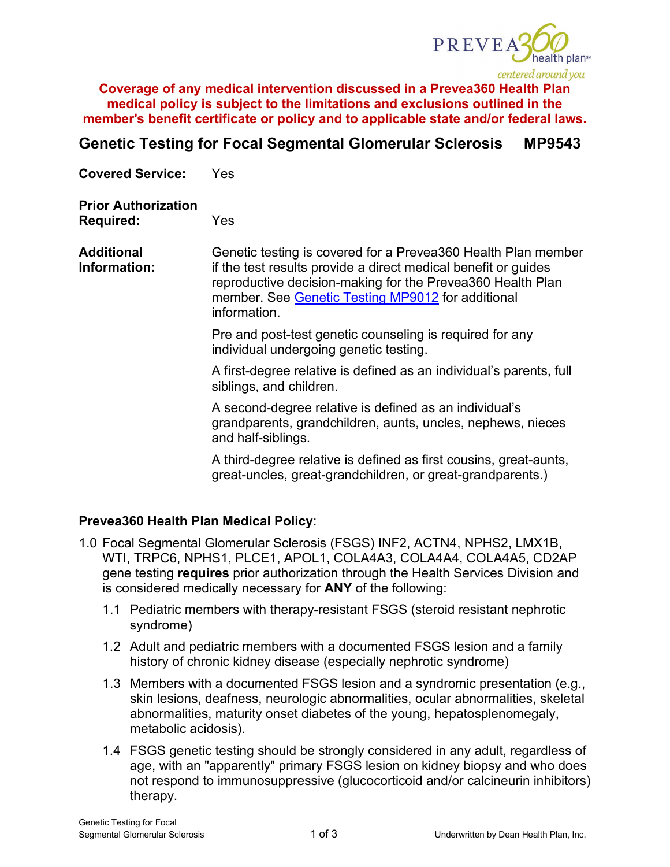

**Coverage of any medical intervention discussed in a Prevea360 Health Plan medical policy is subject to the limitations and exclusions outlined in the member's benefit certificate or policy and to applicable state and/or federal laws.**

# **Genetic Testing for Focal Segmental Glomerular Sclerosis MP9543**

**Covered Service:** Yes

**Prior Authorization Required:** Yes

**Additional Information:** Genetic testing is covered for a Prevea360 Health Plan member if the test results provide a direct medical benefit or guides reproductive decision-making for the Prevea360 Health Plan member. See [Genetic Testing MP9012](https://www.prevea360.com/DocumentLibrary/PDF/Medical-Policies/Genetic-Testing-9012) for additional information.

> Pre and post-test genetic counseling is required for any individual undergoing genetic testing.

A first-degree relative is defined as an individual's parents, full siblings, and children.

A second-degree relative is defined as an individual's grandparents, grandchildren, aunts, uncles, nephews, nieces and half-siblings.

A third-degree relative is defined as first cousins, great-aunts, great-uncles, great-grandchildren, or great-grandparents.)

## **Prevea360 Health Plan Medical Policy**:

- 1.0 Focal Segmental Glomerular Sclerosis (FSGS) INF2, ACTN4, NPHS2, LMX1B, WTI, TRPC6, NPHS1, PLCE1, APOL1, COLA4A3, COLA4A4, COLA4A5, CD2AP gene testing **requires** prior authorization through the Health Services Division and is considered medically necessary for **ANY** of the following:
	- 1.1 Pediatric members with therapy-resistant FSGS (steroid resistant nephrotic syndrome)
	- 1.2 Adult and pediatric members with a documented FSGS lesion and a family history of chronic kidney disease (especially nephrotic syndrome)
	- 1.3 Members with a documented FSGS lesion and a syndromic presentation (e.g., skin lesions, deafness, neurologic abnormalities, ocular abnormalities, skeletal abnormalities, maturity onset diabetes of the young, hepatosplenomegaly, metabolic acidosis).
	- 1.4 FSGS genetic testing should be strongly considered in any adult, regardless of age, with an "apparently" primary FSGS lesion on kidney biopsy and who does not respond to immunosuppressive (glucocorticoid and/or calcineurin inhibitors) therapy.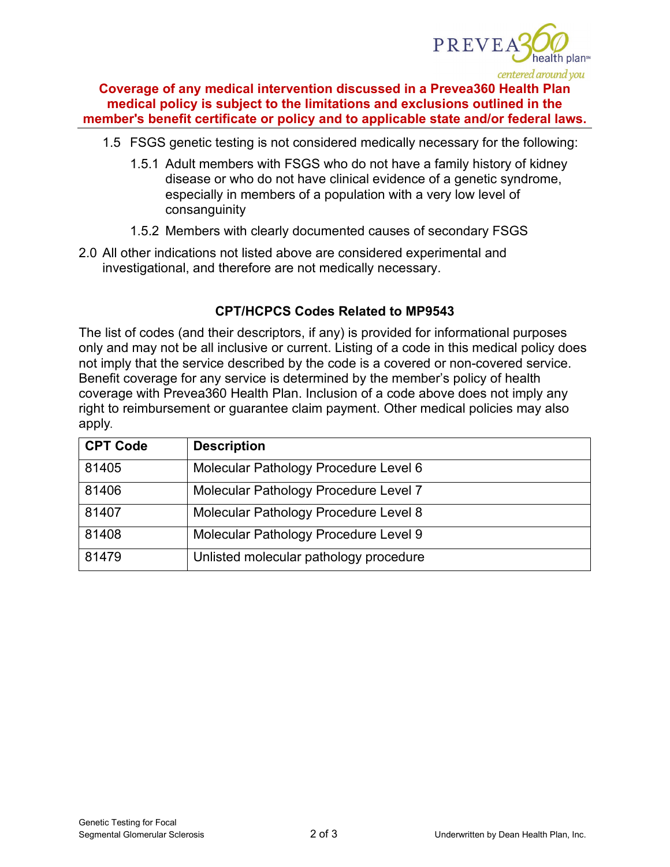

**Coverage of any medical intervention discussed in a Prevea360 Health Plan medical policy is subject to the limitations and exclusions outlined in the member's benefit certificate or policy and to applicable state and/or federal laws.**

- 1.5 FSGS genetic testing is not considered medically necessary for the following:
	- 1.5.1 Adult members with FSGS who do not have a family history of kidney disease or who do not have clinical evidence of a genetic syndrome, especially in members of a population with a very low level of consanguinity
	- 1.5.2 Members with clearly documented causes of secondary FSGS
- 2.0 All other indications not listed above are considered experimental and investigational, and therefore are not medically necessary.

### **CPT/HCPCS Codes Related to MP9543**

The list of codes (and their descriptors, if any) is provided for informational purposes only and may not be all inclusive or current. Listing of a code in this medical policy does not imply that the service described by the code is a covered or non-covered service. Benefit coverage for any service is determined by the member's policy of health coverage with Prevea360 Health Plan. Inclusion of a code above does not imply any right to reimbursement or guarantee claim payment. Other medical policies may also apply*.*

| <b>CPT Code</b> | <b>Description</b>                     |
|-----------------|----------------------------------------|
| 81405           | Molecular Pathology Procedure Level 6  |
| 81406           | Molecular Pathology Procedure Level 7  |
| 81407           | Molecular Pathology Procedure Level 8  |
| 81408           | Molecular Pathology Procedure Level 9  |
| 81479           | Unlisted molecular pathology procedure |